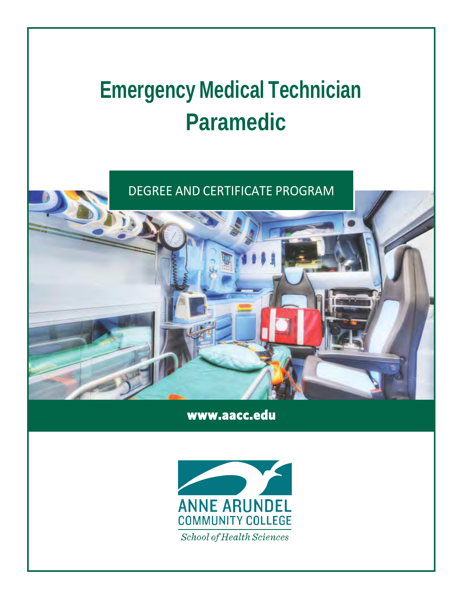# **Emergency Medical Technician Paramedic**

DEGREE AND CERTIFICATE PROGRAM

**[www.aacc.edu](http://www.aacc.edu/)** 

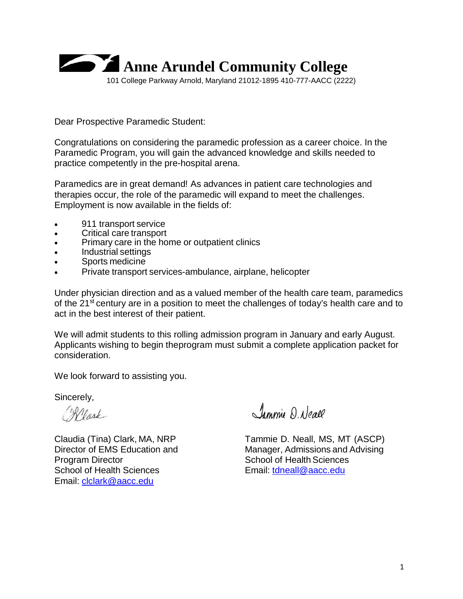

Dear Prospective Paramedic Student:

Congratulations on considering the paramedic profession as a career choice. In the Paramedic Program, you will gain the advanced knowledge and skills needed to practice competently in the pre-hospital arena.

Paramedics are in great demand! As advances in patient care technologies and therapies occur, the role of the paramedic will expand to meet the challenges. Employment is now available in the fields of:

- 911 transport service
- Critical care transport
- Primary care in the home or outpatient clinics
- Industrial settings
- Sports medicine
- Private transport services-ambulance, airplane, helicopter

Under physician direction and as a valued member of the health care team, paramedics of the 21<sup>st</sup> century are in a position to meet the challenges of today's health care and to act in the best interest of their patient.

We will admit students to this rolling admission program in January and early August. Applicants wishing to begin theprogram must submit a complete application packet for consideration.

We look forward to assisting you.

Sincerely,

Reark

**Program Director** School of Health Sciences School of Health Sciences **Email:** [tdneall@aacc.edu](mailto:tdneall@aacc.edu) Email: [clclark@aacc.edu](mailto:clclark@aacc.edu)

Jammie D. Neall

Claudia (Tina) Clark, MA, NRP Tammie D. Neall, MS, MT (ASCP)<br>Director of EMS Education and Manager. Admissions and Advising Manager, Admissions and Advising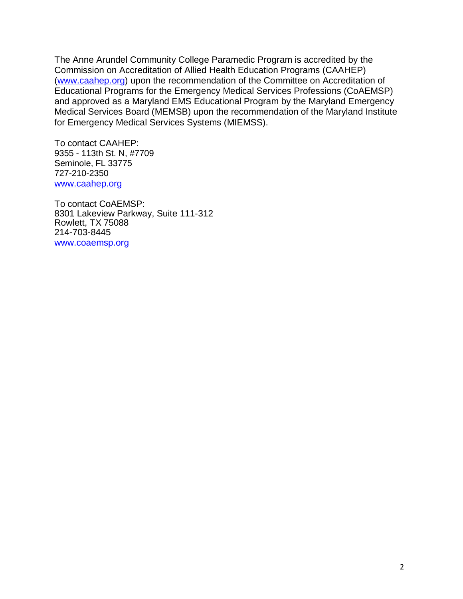The Anne Arundel Community College Paramedic Program is accredited by the Commission on Accreditation of Allied Health Education Programs (CAAHEP) [\(www.caahep.org\)](http://www.caahep.org/) upon the recommendation of the Committee on Accreditation of Educational Programs for the Emergency Medical Services Professions (CoAEMSP) and approved as a Maryland EMS Educational Program by the Maryland Emergency Medical Services Board (MEMSB) upon the recommendation of the Maryland Institute for Emergency Medical Services Systems (MIEMSS).

To contact CAAHEP: 9355 - 113th St. N, #7709 Seminole, FL 33775 727-210-2350 [www.caahep.org](https://www.caahep.org/)

To contact CoAEMSP: 8301 Lakeview Parkway, Suite 111-312 Rowlett, TX 75088 214-703-8445 [www.coaemsp.org](http://www.coaemsp.org/)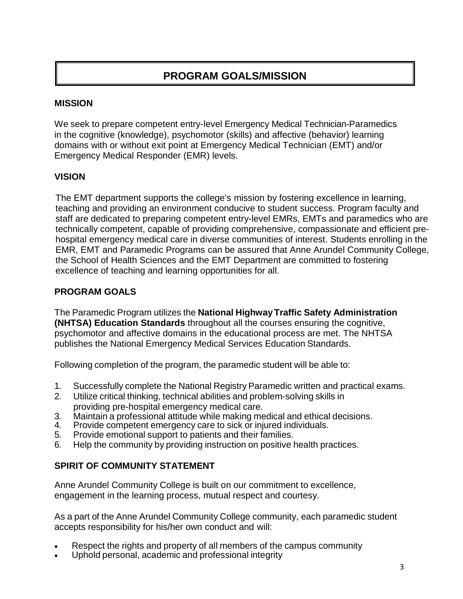# **PROGRAM GOALS/MISSION**

#### **MISSION**

We seek to prepare competent entry-level Emergency Medical Technician-Paramedics in the cognitive (knowledge), psychomotor (skills) and affective (behavior) learning domains with or without exit point at Emergency Medical Technician (EMT) and/or Emergency Medical Responder (EMR) levels.

#### **VISION**

The EMT department supports the college's mission by fostering excellence in learning, teaching and providing an environment conducive to student success. Program faculty and staff are dedicated to preparing competent entry-level EMRs, EMTs and paramedics who are technically competent, capable of providing comprehensive, compassionate and efficient prehospital emergency medical care in diverse communities of interest. Students enrolling in the EMR, EMT and Paramedic Programs can be assured that Anne Arundel Community College, the School of Health Sciences and the EMT Department are committed to fostering excellence of teaching and learning opportunities for all.

#### **PROGRAM GOALS**

The Paramedic Program utilizes the **National HighwayTraffic Safety Administration (NHTSA) Education Standards** throughout all the courses ensuring the cognitive, psychomotor and affective domains in the educational process are met. The NHTSA publishes the National Emergency Medical Services Education Standards.

Following completion of the program, the paramedic student will be able to:

- 1. Successfully complete the National Registry Paramedic written and practical exams.
- 2. Utilize critical thinking, technical abilities and problem-solving skills in providing pre-hospital emergency medical care.
- 3. Maintain a professional attitude while making medical and ethical decisions.<br>4. Provide competent emergency care to sick or iniured individuals.
- 4. Provide competent emergency care to sick or injured individuals.<br>5. Provide emotional support to patients and their families.
- 5. Provide emotional support to patients and their families.
- 6. Help the community by providing instruction on positive health practices.

#### **SPIRIT OF COMMUNITY STATEMENT**

Anne Arundel Community College is built on our commitment to excellence, engagement in the learning process, mutual respect and courtesy.

As a part of the Anne Arundel Community College community, each paramedic student accepts responsibility for his/her own conduct and will:

- Respect the rights and property of all members of the campus community
- Uphold personal, academic and professional integrity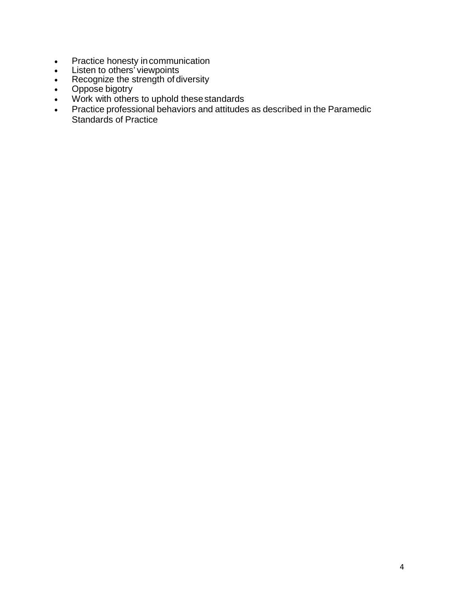- Practice honesty incommunication
- Listen to others' viewpoints
- Recognize the strength of diversity
- Oppose bigotry
- Work with others to uphold these standards
- Practice professional behaviors and attitudes as described in the Paramedic Standards of Practice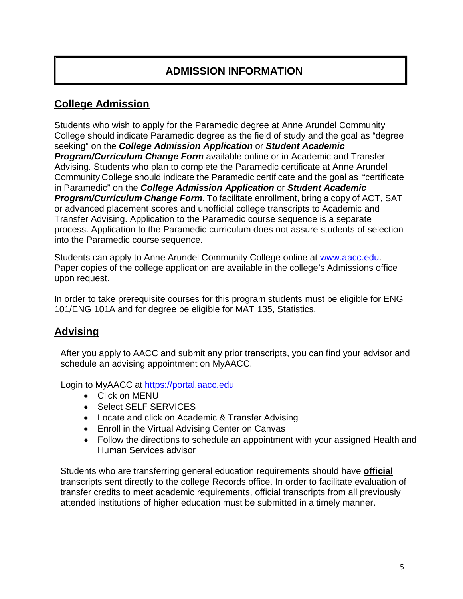# **ADMISSION INFORMATION**

## **College Admission**

Students who wish to apply for the Paramedic degree at Anne Arundel Community College should indicate Paramedic degree as the field of study and the goal as "degree seeking" on the *College Admission Application* or *Student Academic Program/Curriculum Change Form* available online or in Academic and Transfer Advising. Students who plan to complete the Paramedic certificate at Anne Arundel Community College should indicate the Paramedic certificate and the goal as "certificate in Paramedic" on the *College Admission Application* or *Student Academic Program/Curriculum Change Form*. To facilitate enrollment, bring a copy of ACT, SAT or advanced placement scores and unofficial college transcripts to Academic and Transfer Advising. Application to the Paramedic course sequence is a separate process. Application to the Paramedic curriculum does not assure students of selection into the Paramedic course sequence.

Students can apply to Anne Arundel Community College online at [www.aacc.edu.](http://www.aacc.edu/) Paper copies of the college application are available in the college's Admissions office upon request.

In order to take prerequisite courses for this program students must be eligible for ENG 101/ENG 101A and for degree be eligible for MAT 135, Statistics.

## **Advising**

After you apply to AACC and submit any prior transcripts, you can find your advisor and schedule an advising appointment on MyAACC.

Login to MyAACC at [https://portal.aacc.edu](https://portal.aacc.edu/)

- Click on MENU
- Select SELF SERVICES
- Locate and click on Academic & Transfer Advising
- Enroll in the Virtual Advising Center on Canvas
- Follow the directions to schedule an appointment with your assigned Health and Human Services advisor

Students who are transferring general education requirements should have **official** transcripts sent directly to the college Records office. In order to facilitate evaluation of transfer credits to meet academic requirements, official transcripts from all previously attended institutions of higher education must be submitted in a timely manner.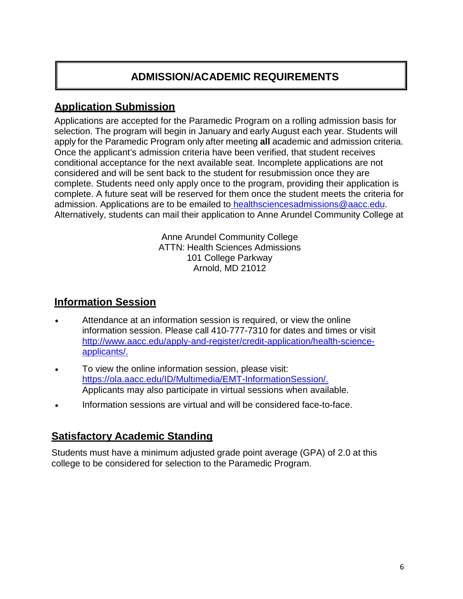# **ADMISSION/ACADEMIC REQUIREMENTS**

## **Application Submission**

Applications are accepted for the Paramedic Program on a rolling admission basis for selection. The program will begin in January and early August each year. Students will apply for the Paramedic Program only after meeting **all** academic and admission criteria. Once the applicant's admission criteria have been verified, that student receives conditional acceptance for the next available seat. Incomplete applications are not considered and will be sent back to the student for resubmission once they are complete. Students need only apply once to the program, providing their application is complete. A future seat will be reserved for them once the student meets the criteria for admission. Applications are to be emailed to [healthsciencesadmissions@aacc.edu.](mailto:%20healthsciencesadmissions@aacc.edu%22) Alternatively, students can mail their application to Anne Arundel Community College at

> Anne Arundel Community College ATTN: Health Sciences Admissions 101 College Parkway Arnold, MD 21012

## **Information Session**

- Attendance at an information session is required, or view the online information session. Please call 410-777-7310 for dates and times or visit [http://www.aacc.edu/apply-and-register/credit-application/health-science](http://www.aacc.edu/apply-and-register/credit-application/health-science-applicants/)[applicants/.](http://www.aacc.edu/apply-and-register/credit-application/health-science-applicants/)
- To view the online information session, please visit: [https://ola.aacc.edu/ID/Multimedia/EMT-InformationSession/.](https://ola.aacc.edu/ID/Multimedia/EMT-InformationSession/story_html5.html) Applicants may also participate in virtual sessions when available.
- Information sessions are virtual and will be considered face-to-face.

## **Satisfactory Academic Standing**

Students must have a minimum adjusted grade point average (GPA) of 2.0 at this college to be considered for selection to the Paramedic Program.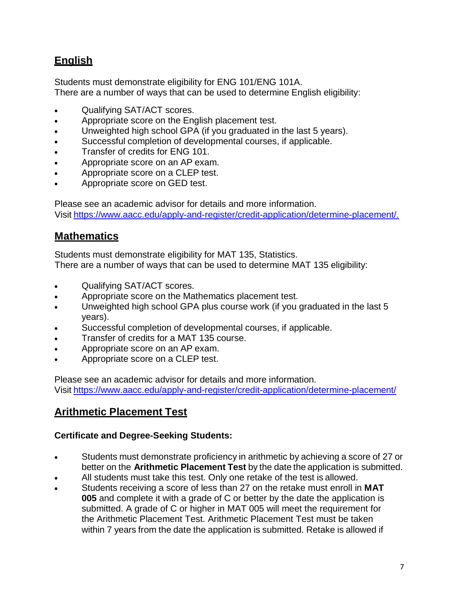# **English**

Students must demonstrate eligibility for ENG 101/ENG 101A. There are a number of ways that can be used to determine English eligibility:

- Qualifying SAT/ACT scores.
- Appropriate score on the English placement test.
- Unweighted high school GPA (if you graduated in the last 5 years).
- Successful completion of developmental courses, if applicable.
- Transfer of credits for ENG 101.
- Appropriate score on an AP exam.
- Appropriate score on a CLEP test.
- Appropriate score on GED test.

Please see an academic advisor for details and more information. Visit [https://www.aacc.edu/apply-and-register/credit-application/determine-placement/.](http://www.aacc.edu/apply-and-register/credit-application/determine-placement/)

## **Mathematics**

Students must demonstrate eligibility for MAT 135, Statistics. There are a number of ways that can be used to determine MAT 135 eligibility:

- Qualifying SAT/ACT scores.
- Appropriate score on the Mathematics placement test.
- Unweighted high school GPA plus course work (if you graduated in the last 5 years).
- Successful completion of developmental courses, if applicable.
- Transfer of credits for a MAT 135 course.
- Appropriate score on an AP exam.
- Appropriate score on a CLEP test.

Please see an academic advisor for details and more information. Visit <https://www.aacc.edu/apply-and-register/credit-application/determine-placement/>

## **Arithmetic Placement Test**

#### **Certificate and Degree-Seeking Students:**

- Students must demonstrate proficiency in arithmetic by achieving a score of 27 or better on the **Arithmetic Placement Test** by the date the application is submitted.
- All students must take this test. Only one retake of the test is allowed.
- Students receiving a score of less than 27 on the retake must enroll in **MAT 005** and complete it with a grade of C or better by the date the application is submitted. A grade of C or higher in MAT 005 will meet the requirement for the Arithmetic Placement Test. Arithmetic Placement Test must be taken within 7 years from the date the application is submitted. Retake is allowed if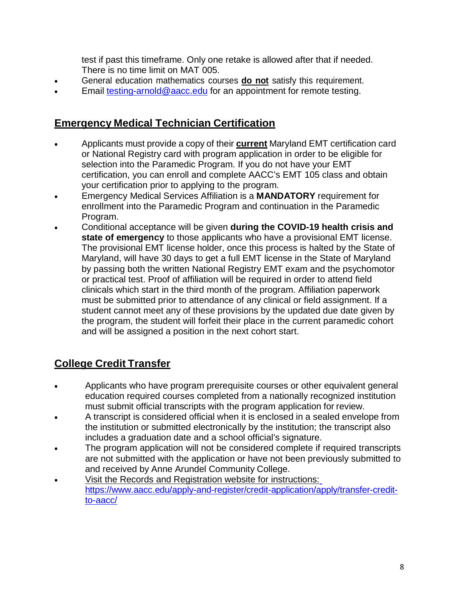test if past this timeframe. Only one retake is allowed after that if needed. There is no time limit on MAT 005.

- General education mathematics courses **do not** satisfy this requirement.
- Email [testing-arnold@aacc.edu](mailto:testing-arnold@aacc.edu) for an appointment for remote testing.

## **Emergency Medical Technician Certification**

- Applicants must provide a copy of their **current** Maryland EMT certification card or National Registry card with program application in order to be eligible for selection into the Paramedic Program. If you do not have your EMT certification, you can enroll and complete AACC's EMT 105 class and obtain your certification prior to applying to the program.
- Emergency Medical Services Affiliation is a **MANDATORY** requirement for enrollment into the Paramedic Program and continuation in the Paramedic Program.
- Conditional acceptance will be given **during the COVID-19 health crisis and state of emergency** to those applicants who have a provisional EMT license. The provisional EMT license holder, once this process is halted by the State of Maryland, will have 30 days to get a full EMT license in the State of Maryland by passing both the written National Registry EMT exam and the psychomotor or practical test. Proof of affiliation will be required in order to attend field clinicals which start in the third month of the program. Affiliation paperwork must be submitted prior to attendance of any clinical or field assignment. If a student cannot meet any of these provisions by the updated due date given by the program, the student will forfeit their place in the current paramedic cohort and will be assigned a position in the next cohort start.

# **College Credit Transfer**

- Applicants who have program prerequisite courses or other equivalent general education required courses completed from a nationally recognized institution must submit official transcripts with the program application for review.
- A transcript is considered official when it is enclosed in a sealed envelope from the institution or submitted electronically by the institution; the transcript also includes a graduation date and a school official's signature.
- The program application will not be considered complete if required transcripts are not submitted with the application or have not been previously submitted to and received by Anne Arundel Community College.
- Visit the Records and Registration website for instructions: [https://www.aacc.edu/apply-and-register/credit-application/apply/transfer-credit](https://www.aacc.edu/apply-and-register/credit-application/apply/transfer-credit-to-aacc/)[to-aacc/](https://www.aacc.edu/apply-and-register/credit-application/apply/transfer-credit-to-aacc/)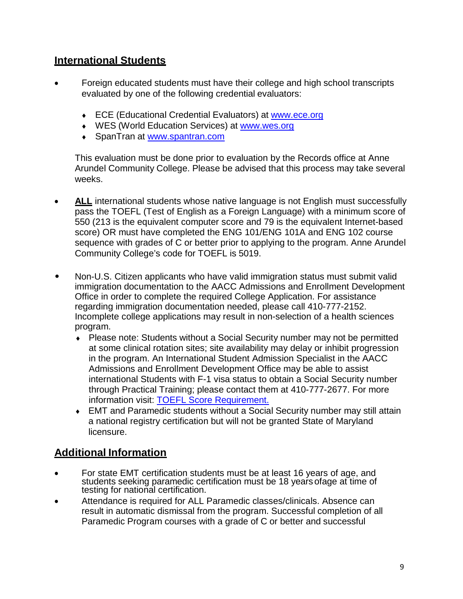## **International Students**

- Foreign educated students must have their college and high school transcripts evaluated by one of the following credential evaluators:
	- ♦ ECE (Educational Credential Evaluators) at [www.ece.org](http://www.ece.org/)
	- ♦ WES (World Education Services) at [www.wes.org](http://www.wes.org/)
	- ♦ SpanTran at [www.spantran.com](http://www.spantran.com/)

This evaluation must be done prior to evaluation by the Records office at Anne Arundel Community College. Please be advised that this process may take several weeks.

- **ALL** international students whose native language is not English must successfully pass the TOEFL (Test of English as a Foreign Language) with a minimum score of 550 (213 is the equivalent computer score and 79 is the equivalent Internet-based score) OR must have completed the ENG 101/ENG 101A and ENG 102 course sequence with grades of C or better prior to applying to the program. Anne Arundel Community College's code for TOEFL is 5019.
- Non-U.S. Citizen applicants who have valid immigration status must submit valid immigration documentation to the AACC Admissions and Enrollment Development Office in order to complete the required College Application. For assistance regarding immigration documentation needed, please call 410-777-2152. Incomplete college applications may result in non-selection of a health sciences program.
	- Please note: Students without a Social Security number may not be permitted at some clinical rotation sites; site availability may delay or inhibit progression in the program. An International Student Admission Specialist in the AACC Admissions and Enrollment Development Office may be able to assist international Students with F-1 visa status to obtain a Social Security number through Practical Training; please contact them at 410-777-2677. For more information visit: [TOEFL Score Requirement.](https://www.aacc.edu/apply-and-register/credit-application/international-students/toefl-score-requirement/)
	- ♦ EMT and Paramedic students without a Social Security number may still attain a national registry certification but will not be granted State of Maryland licensure.

## **Additional Information**

- For state EMT certification students must be at least 16 years of age, and students seeking paramedic certification must be 18 yearsofage at time of testing for national certification.
- Attendance is required for ALL Paramedic classes/clinicals. Absence can result in automatic dismissal from the program. Successful completion of all Paramedic Program courses with a grade of C or better and successful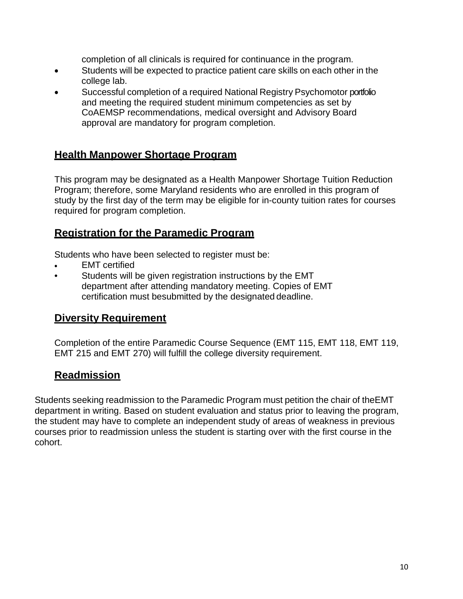completion of all clinicals is required for continuance in the program.

- Students will be expected to practice patient care skills on each other in the college lab.
- Successful completion of a required National Registry Psychomotor portfolio and meeting the required student minimum competencies as set by CoAEMSP recommendations, medical oversight and Advisory Board approval are mandatory for program completion.

## **Health Manpower Shortage Program**

This program may be designated as a Health Manpower Shortage Tuition Reduction Program; therefore, some Maryland residents who are enrolled in this program of study by the first day of the term may be eligible for in-county tuition rates for courses required for program completion.

## **Registration for the Paramedic Program**

Students who have been selected to register must be:

- **EMT** certified
- Students will be given registration instructions by the EMT department after attending mandatory meeting. Copies of EMT certification must besubmitted by the designated deadline.

#### **Diversity Requirement**

Completion of the entire Paramedic Course Sequence (EMT 115, EMT 118, EMT 119, EMT 215 and EMT 270) will fulfill the college diversity requirement.

## **Readmission**

Students seeking readmission to the Paramedic Program must petition the chair of theEMT department in writing. Based on student evaluation and status prior to leaving the program, the student may have to complete an independent study of areas of weakness in previous courses prior to readmission unless the student is starting over with the first course in the cohort.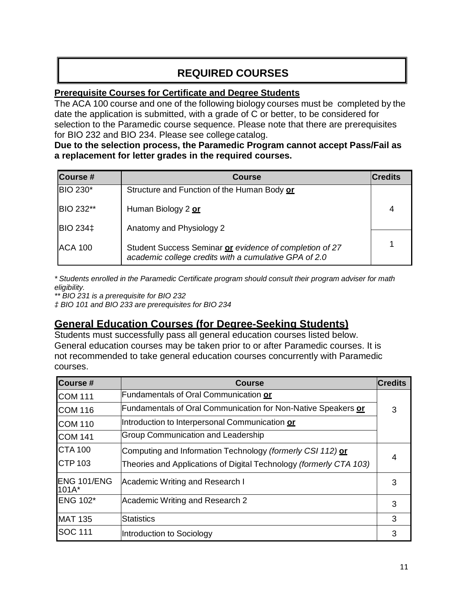# **REQUIRED COURSES**

#### **Prerequisite Courses for Certificate and Degree Students**

The ACA 100 course and one of the following biology courses must be completed by the date the application is submitted, with a grade of C or better, to be considered for selection to the Paramedic course sequence. Please note that there are prerequisites for BIO 232 and BIO 234. Please see college catalog.

#### **Due to the selection process, the Paramedic Program cannot accept Pass/Fail as a replacement for letter grades in the required courses.**

| Course #         | <b>Course</b>                                                                                                    | Credits |
|------------------|------------------------------------------------------------------------------------------------------------------|---------|
| <b>BIO 230*</b>  | Structure and Function of the Human Body or                                                                      |         |
| <b>BIO 232**</b> | Human Biology 2 or                                                                                               | 4       |
| <b>BIO 234‡</b>  | Anatomy and Physiology 2                                                                                         |         |
| <b>ACA 100</b>   | Student Success Seminar or evidence of completion of 27<br>academic college credits with a cumulative GPA of 2.0 |         |

*\* Students enrolled in the Paramedic Certificate program should consult their program adviser for math eligibility.*

*\*\* BIO 231 is a prerequisite for BIO 232*

*‡ BIO 101 and BIO 233 are prerequisites for BIO 234*

## **General Education Courses (for Degree-Seeking Students)**

Students must successfully pass all general education courses listed below. General education courses may be taken prior to or after Paramedic courses. It is not recommended to take general education courses concurrently with Paramedic courses.

| <b>Course#</b>         | <b>Course</b>                                                      | <b>Credits</b> |
|------------------------|--------------------------------------------------------------------|----------------|
| <b>COM 111</b>         | Fundamentals of Oral Communication or                              |                |
| <b>COM 116</b>         | Fundamentals of Oral Communication for Non-Native Speakers or      | 3              |
| <b>COM 110</b>         | Introduction to Interpersonal Communication or                     |                |
| <b>COM 141</b>         | Group Communication and Leadership                                 |                |
| <b>CTA 100</b>         | Computing and Information Technology (formerly CSI 112) or         |                |
| <b>CTP 103</b>         | Theories and Applications of Digital Technology (formerly CTA 103) |                |
| ENG 101/ENG<br>$101A*$ | Academic Writing and Research I                                    | 3              |
| <b>ENG 102*</b>        | Academic Writing and Research 2                                    | 3              |
| <b>MAT 135</b>         | <b>Statistics</b>                                                  | 3              |
| SOC 111                | Introduction to Sociology                                          | 3              |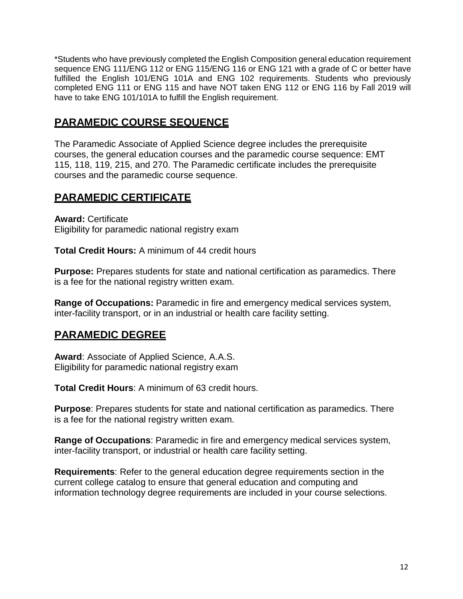\*Students who have previously completed the English Composition general education requirement sequence ENG 111/ENG 112 or ENG 115/ENG 116 or ENG 121 with a grade of C or better have fulfilled the English 101/ENG 101A and ENG 102 requirements. Students who previously completed ENG 111 or ENG 115 and have NOT taken ENG 112 or ENG 116 by Fall 2019 will have to take ENG 101/101A to fulfill the English requirement.

## **PARAMEDIC COURSE SEQUENCE**

The Paramedic Associate of Applied Science degree includes the prerequisite courses, the general education courses and the paramedic course sequence: EMT 115, 118, 119, 215, and 270. The Paramedic certificate includes the prerequisite courses and the paramedic course sequence.

## **PARAMEDIC CERTIFICATE**

**Award:** Certificate Eligibility for paramedic national registry exam

**Total Credit Hours:** A minimum of 44 credit hours

**Purpose:** Prepares students for state and national certification as paramedics. There is a fee for the national registry written exam.

**Range of Occupations:** Paramedic in fire and emergency medical services system, inter-facility transport, or in an industrial or health care facility setting.

## **PARAMEDIC DEGREE**

**Award**: Associate of Applied Science, A.A.S. Eligibility for paramedic national registry exam

**Total Credit Hours**: A minimum of 63 credit hours.

**Purpose**: Prepares students for state and national certification as paramedics. There is a fee for the national registry written exam.

**Range of Occupations**: Paramedic in fire and emergency medical services system, inter-facility transport, or industrial or health care facility setting.

**Requirements**: Refer to the general education degree requirements section in the current college catalog to ensure that general education and computing and information technology degree requirements are included in your course selections.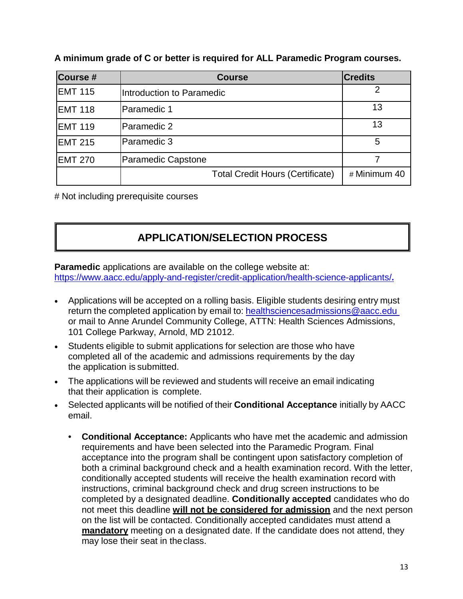| Course #       | <b>Course</b>                           | <b>Credits</b> |
|----------------|-----------------------------------------|----------------|
| <b>EMT 115</b> | Introduction to Paramedic               | 2              |
| <b>EMT 118</b> | Paramedic 1                             | 13             |
| <b>EMT 119</b> | Paramedic 2                             | 13             |
| <b>EMT 215</b> | Paramedic 3                             | 5              |
| <b>EMT 270</b> | <b>Paramedic Capstone</b>               |                |
|                | <b>Total Credit Hours (Certificate)</b> | # Minimum 40   |

**A minimum grade of C or better is required for ALL Paramedic Program courses.**

# Not including prerequisite courses

# **APPLICATION/SELECTION PROCESS**

**Paramedic** applications are available on the college website at: <https://www.aacc.edu/apply-and-register/credit-application/health-science-applicants/>**.**

- Applications will be accepted on a rolling basis. Eligible students desiring entry [must](mailto:ramanning@aacc.edu) return the [completed](mailto:healthadmissions@aacc.edu) application by email to: [healthsciencesadmissions@aacc.edu](mailto:healthsciencesadmissions@aacc.edu) or mail to Anne Arundel Community College, ATTN: Health Sciences Admissions, 101 College Parkway, Arnold, MD 21012.
- Students eligible to submit applications for selection are those who have completed all of the academic and admissions requirements by the day the application is submitted.
- The applications will be reviewed and students will receive an email indicating that their application is complete.
- Selected applicants will be notified of their **Conditional Acceptance** initially by AACC email.
	- **Conditional Acceptance:** Applicants who have met the academic and admission requirements and have been selected into the Paramedic Program. Final acceptance into the program shall be contingent upon satisfactory completion of both a criminal background check and a health examination record. With the letter, conditionally accepted students will receive the health examination record with instructions, criminal background check and drug screen instructions to be completed by a designated deadline. **Conditionally accepted** candidates who do not meet this deadline **will not be considered for admission** and the next person on the list will be contacted. Conditionally accepted candidates must attend a **mandatory** meeting on a designated date. If the candidate does not attend, they may lose their seat in the class.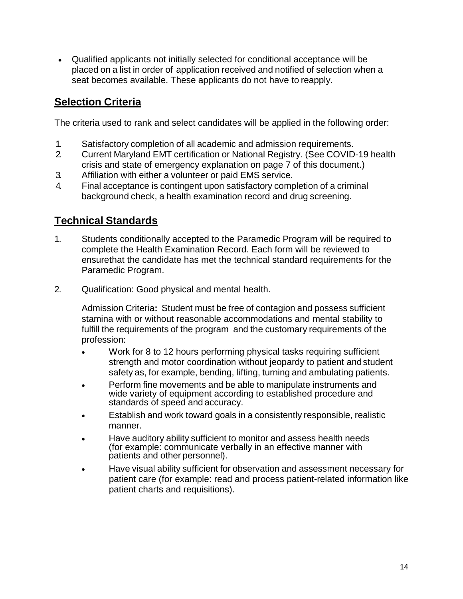• Qualified applicants not initially selected for conditional acceptance will be placed on a list in order of application received and notified of selection when a seat becomes available. These applicants do not have to reapply.

## **Selection Criteria**

The criteria used to rank and select candidates will be applied in the following order:

- 1. Satisfactory completion of all academic and admission requirements.
- 2. Current Maryland EMT certification or National Registry. (See COVID-19 health crisis and state of emergency explanation on page 7 of this document.)
- 3. Affiliation with either a volunteer or paid EMS service.
- 4. Final acceptance is contingent upon satisfactory completion of a criminal background check, a health examination record and drug screening.

# **Technical Standards**

- 1. Students conditionally accepted to the Paramedic Program will be required to complete the Health Examination Record. Each form will be reviewed to ensurethat the candidate has met the technical standard requirements for the Paramedic Program.
- 2. Qualification: Good physical and mental health.

Admission Criteria**:** Student must be free of contagion and possess sufficient stamina with or without reasonable accommodations and mental stability to fulfill the requirements of the program and the customary requirements of the profession:

- Work for 8 to 12 hours performing physical tasks requiring sufficient strength and motor coordination without jeopardy to patient andstudent safety as, for example, bending, lifting, turning and ambulating patients.
- Perform fine movements and be able to manipulate instruments and wide variety of equipment according to established procedure and standards of speed and accuracy.
- Establish and work toward goals in a consistently responsible, realistic manner.
- Have auditory ability sufficient to monitor and assess health needs (for example: communicate verbally in an effective manner with patients and other personnel).
- Have visual ability sufficient for observation and assessment necessary for patient care (for example: read and process patient-related information like patient charts and requisitions).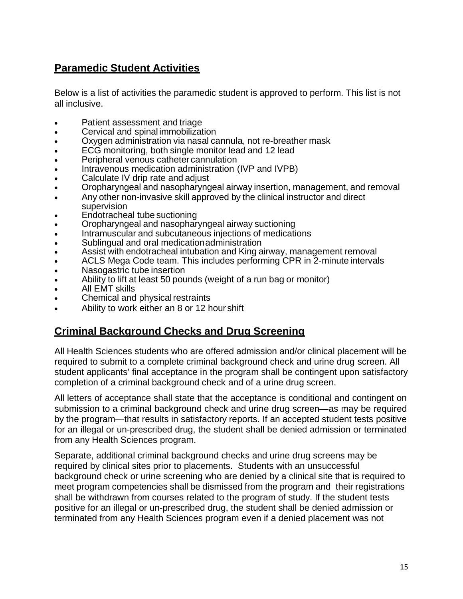## **Paramedic Student Activities**

Below is a list of activities the paramedic student is approved to perform. This list is not all inclusive.

- Patient assessment and triage
- Cervical and spinal immobilization
- Oxygen administration via nasal cannula, not re-breather mask
- ECG monitoring, both single monitor lead and 12 lead
- Peripheral venous catheter cannulation
- Intravenous medication administration (IVP and IVPB)
- Calculate IV drip rate and adjust
- Oropharyngeal and nasopharyngeal airway insertion, management, and removal
- Any other non-invasive skill approved by the clinical instructor and direct supervision
- Endotracheal tube suctioning
- Oropharyngeal and nasopharyngeal airway suctioning
- Intramuscular and subcutaneous injections of medications
- Sublingual and oral medication administration
- Assist with endotracheal intubation and King airway, management removal
- ACLS Mega Code team. This includes performing CPR in 2-minute intervals
- Nasogastric tube insertion
- Ability to lift at least 50 pounds (weight of a run bag or monitor)
- All EMT skills
- Chemical and physical restraints
- Ability to work either an 8 or 12 hour shift

## **Criminal Background Checks and Drug Screening**

All Health Sciences students who are offered admission and/or clinical placement will be required to submit to a complete criminal background check and urine drug screen. All student applicants' final acceptance in the program shall be contingent upon satisfactory completion of a criminal background check and of a urine drug screen.

All letters of acceptance shall state that the acceptance is conditional and contingent on submission to a criminal background check and urine drug screen—as may be required by the program—that results in satisfactory reports. If an accepted student tests positive for an illegal or un-prescribed drug, the student shall be denied admission or terminated from any Health Sciences program.

Separate, additional criminal background checks and urine drug screens may be required by clinical sites prior to placements. Students with an unsuccessful background check or urine screening who are denied by a clinical site that is required to meet program competencies shall be dismissed from the program and their registrations shall be withdrawn from courses related to the program of study. If the student tests positive for an illegal or un-prescribed drug, the student shall be denied admission or terminated from any Health Sciences program even if a denied placement was not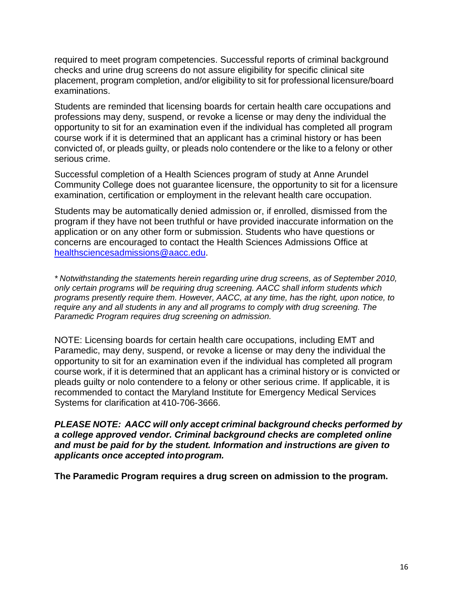required to meet program competencies. Successful reports of criminal background checks and urine drug screens do not assure eligibility for specific clinical site placement, program completion, and/or eligibility to sit for professional licensure/board examinations.

Students are reminded that licensing boards for certain health care occupations and professions may deny, suspend, or revoke a license or may deny the individual the opportunity to sit for an examination even if the individual has completed all program course work if it is determined that an applicant has a criminal history or has been convicted of, or pleads guilty, or pleads nolo contendere or the like to a felony or other serious crime.

Successful completion of a Health Sciences program of study at Anne Arundel Community College does not guarantee licensure, the opportunity to sit for a licensure examination, certification or employment in the relevant health care occupation.

Students may be automatically denied admission or, if enrolled, dismissed from the program if they have not been truthful or have provided inaccurate information on the application or on any other form or submission. Students who have questions or concerns are encouraged to contact the Health Sciences Admissions Office at [healthsciencesadmissions@aacc.edu.](mailto:healthsciencesadmissions@aacc.edu)

*\* Notwithstanding the statements herein regarding urine drug screens, as of September 2010, only certain programs will be requiring drug screening. AACC shall inform students which programs presently require them. However, AACC, at any time, has the right, upon notice, to require any and all students in any and all programs to comply with drug screening. The Paramedic Program requires drug screening on admission.*

NOTE: Licensing boards for certain health care occupations, including EMT and Paramedic, may deny, suspend, or revoke a license or may deny the individual the opportunity to sit for an examination even if the individual has completed all program course work, if it is determined that an applicant has a criminal history or is convicted or pleads guilty or nolo contendere to a felony or other serious crime. If applicable, it is recommended to contact the Maryland Institute for Emergency Medical Services Systems for clarification at 410-706-3666.

*PLEASE NOTE: AACC will only accept criminal background checks performed by a college approved vendor. Criminal background checks are completed online and must be paid for by the student. Information and instructions are given to applicants once accepted intoprogram.*

**The Paramedic Program requires a drug screen on admission to the program.**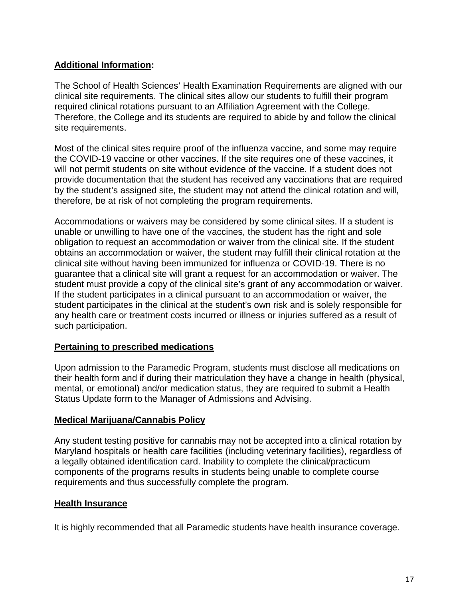#### **Additional Information:**

The School of Health Sciences' Health Examination Requirements are aligned with our clinical site requirements. The clinical sites allow our students to fulfill their program required clinical rotations pursuant to an Affiliation Agreement with the College. Therefore, the College and its students are required to abide by and follow the clinical site requirements.

Most of the clinical sites require proof of the influenza vaccine, and some may require the COVID-19 vaccine or other vaccines. If the site requires one of these vaccines, it will not permit students on site without evidence of the vaccine. If a student does not provide documentation that the student has received any vaccinations that are required by the student's assigned site, the student may not attend the clinical rotation and will, therefore, be at risk of not completing the program requirements.

Accommodations or waivers may be considered by some clinical sites. If a student is unable or unwilling to have one of the vaccines, the student has the right and sole obligation to request an accommodation or waiver from the clinical site. If the student obtains an accommodation or waiver, the student may fulfill their clinical rotation at the clinical site without having been immunized for influenza or COVID-19. There is no guarantee that a clinical site will grant a request for an accommodation or waiver. The student must provide a copy of the clinical site's grant of any accommodation or waiver. If the student participates in a clinical pursuant to an accommodation or waiver, the student participates in the clinical at the student's own risk and is solely responsible for any health care or treatment costs incurred or illness or injuries suffered as a result of such participation.

#### **Pertaining to prescribed medications**

Upon admission to the Paramedic Program, students must disclose all medications on their health form and if during their matriculation they have a change in health (physical, mental, or emotional) and/or medication status, they are required to submit a Health Status Update form to the Manager of Admissions and Advising.

#### **Medical Marijuana/Cannabis Policy**

Any student testing positive for cannabis may not be accepted into a clinical rotation by Maryland hospitals or health care facilities (including veterinary facilities), regardless of a legally obtained identification card. Inability to complete the clinical/practicum components of the programs results in students being unable to complete course requirements and thus successfully complete the program.

#### **Health Insurance**

It is highly recommended that all Paramedic students have health insurance coverage.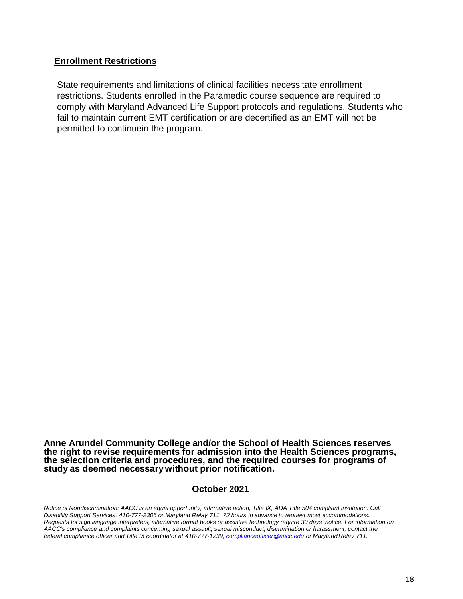#### **Enrollment Restrictions**

State requirements and limitations of clinical facilities necessitate enrollment restrictions. Students enrolled in the Paramedic course sequence are required to comply with Maryland Advanced Life Support protocols and regulations. Students who fail to maintain current EMT certification or are decertified as an EMT will not be permitted to continuein the program.

**Anne Arundel Community College and/or the School of Health Sciences reserves the right to revise requirements for admission into the Health Sciences programs, the selection criteria and procedures, and the required courses for programs of study as deemed necessarywithout prior notification.**

#### **October 2021**

*Notice of Nondiscrimination: AACC is an equal opportunity, affirmative action, Title IX, ADA Title 504 compliant institution. Call Disability Support Services, 410-777-2306 or Maryland Relay 711, 72 hours in advance to request most accommodations. Requests for sign language interpreters, alternative format books or assistive technology require 30 days' notice. For information on AACC's compliance and complaints concerning sexual assault, sexual misconduct, discrimination or harassment, contact the federal compliance officer and Title IX coordinator at 410-777-1239, [complianceofficer@aacc.edu](mailto:complianceofficer@aacc.edu) or MarylandRelay 711.*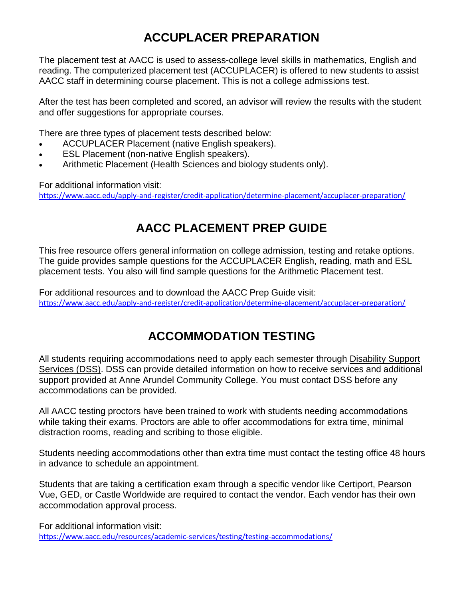# **ACCUPLACER PREPARATION**

The placement test at AACC is used to assess-college level skills in mathematics, English and reading. The computerized placement test (ACCUPLACER) is offered to new students to assist AACC staff in determining course placement. This is not a college admissions test.

After the test has been completed and scored, an advisor will review the results with the student and offer suggestions for appropriate courses.

There are three types of placement tests described below:

- ACCUPLACER Placement (native English speakers).
- **ESL Placement (non-native English speakers).**
- Arithmetic Placement (Health Sciences and biology students only).

For additional information visit:

<https://www.aacc.edu/apply-and-register/credit-application/determine-placement/accuplacer-preparation/>

# **AACC PLACEMENT PREP GUIDE**

This free resource offers general information on college admission, testing and retake options. The guide provides sample questions for the ACCUPLACER English, reading, math and ESL placement tests. You also will find sample questions for the Arithmetic Placement test.

For additional resources and to download the AACC Prep Guide visit: <https://www.aacc.edu/apply-and-register/credit-application/determine-placement/accuplacer-preparation/>

# **ACCOMMODATION TESTING**

All students requiring accommodations need to apply each semester through [Disability Support](https://www.aacc.edu/resources/disability-support-services/) [Services \(DSS\).](https://www.aacc.edu/resources/disability-support-services/) DSS can provide detailed information on how to receive services and additional support provided at Anne Arundel Community College. You must contact DSS before any accommodations can be provided.

All AACC testing proctors have been trained to work with students needing accommodations while taking their exams. Proctors are able to offer accommodations for extra time, minimal distraction rooms, reading and scribing to those eligible.

Students needing accommodations other than extra time must contact the testing office 48 hours in advance to schedule an appointment.

Students that are taking a certification exam through a specific vendor like Certiport, Pearson Vue, GED, or Castle Worldwide are required to contact the vendor. Each vendor has their own accommodation approval process.

For additional information visit: <https://www.aacc.edu/resources/academic-services/testing/testing-accommodations/>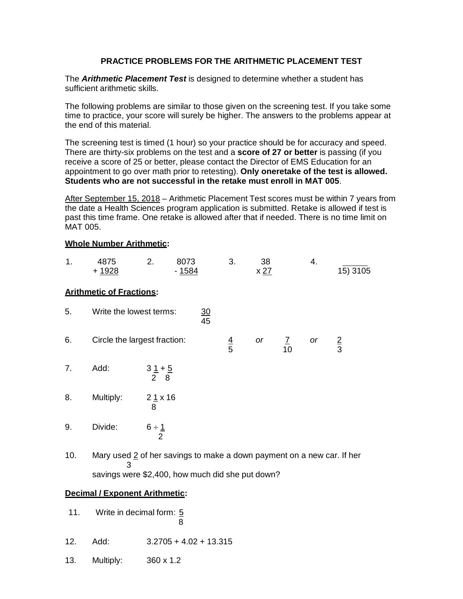#### **PRACTICE PROBLEMS FOR THE ARITHMETIC PLACEMENT TEST**

The *Arithmetic Placement Test* is designed to determine whether a student has sufficient arithmetic skills.

The following problems are similar to those given on the screening test. If you take some time to practice, your score will surely be higher. The answers to the problems appear at the end of this material.

The screening test is timed (1 hour) so your practice should be for accuracy and speed. There are thirty-six problems on the test and a **score of 27 or better** is passing (if you receive a score of 25 or better, please contact the Director of EMS Education for an appointment to go over math prior to retesting). **Only oneretake of the test is allowed. Students who are not successful in the retake must enroll in MAT 005**.

After September 15, 2018 – Arithmetic Placement Test scores must be within 7 years from the date a Health Sciences program application is submitted. Retake is allowed if test is past this time frame. One retake is allowed after that if needed. There is no time limit on MAT 005.

#### **Whole Number Arithmetic:**

| 1. | 4875<br>$+ 1928$                | 2.                                       | 8073<br>$-1584$ |                 | 3.            | 38<br>x 27 |              | 4. | 15) 3105    |
|----|---------------------------------|------------------------------------------|-----------------|-----------------|---------------|------------|--------------|----|-------------|
|    | <b>Arithmetic of Fractions:</b> |                                          |                 |                 |               |            |              |    |             |
| 5. | Write the lowest terms:         |                                          |                 | $\frac{30}{45}$ |               |            |              |    |             |
| 6. | Circle the largest fraction:    |                                          |                 |                 | $\frac{4}{5}$ | or         | $rac{7}{10}$ | or | $rac{2}{3}$ |
| 7. | Add:                            | $31 + 5$<br>2 8                          |                 |                 |               |            |              |    |             |
| 8. | Multiply:                       | 21x16<br>8                               |                 |                 |               |            |              |    |             |
| 9. | Divide:                         | $6 \div \underline{1}$<br>$\overline{2}$ |                 |                 |               |            |              |    |             |
|    |                                 |                                          |                 |                 |               |            |              |    |             |

10. Mary used 2 of her savings to make a down payment on a new car. If her 3 savings were \$2,400, how much did she put down?

#### **Decimal / Exponent Arithmetic:**

- 11. Write in decimal form: 5 8
- 12. Add: 3.2705 + 4.02 + 13.315
- 13. Multiply: 360 x 1.2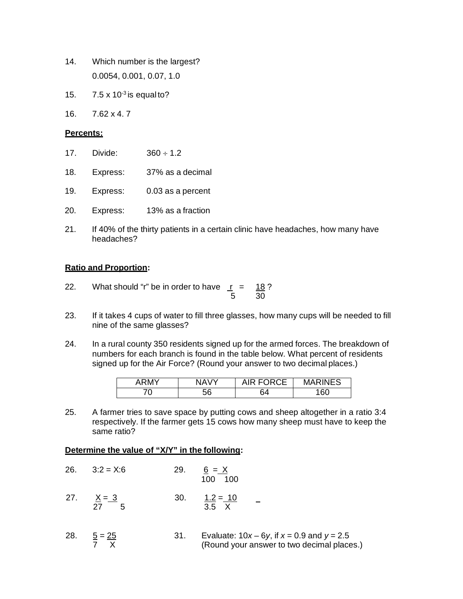- 14. Which number is the largest? 0.0054, 0.001, 0.07, 1.0
- 15.  $7.5 \times 10^{-3}$  is equal to?
- 16. 7.62 x 4. 7

#### **Percents:**

- 17. Divide: 360 ÷ 1.2
- 18. Express: 37% as a decimal
- 19. Express: 0.03 as a percent
- 20. Express: 13% as a fraction
- 21. If 40% of the thirty patients in a certain clinic have headaches, how many have headaches?

#### **Ratio and Proportion:**

- 22. What should "r" be in order to have  $r = 18$ ? 5 30
- 23. If it takes 4 cups of water to fill three glasses, how many cups will be needed to fill nine of the same glasses?
- 24. In a rural county 350 residents signed up for the armed forces. The breakdown of numbers for each branch is found in the table below. What percent of residents signed up for the Air Force? (Round your answer to two decimal places.)

| APM <sub>Y</sub> | NAV | $P$ copce<br>◡∟ | <b>INES</b><br>MA |
|------------------|-----|-----------------|-------------------|
| ◡                | bb  | RΔ              | 160               |

25. A farmer tries to save space by putting cows and sheep altogether in a ratio 3:4 respectively. If the farmer gets 15 cows how many sheep must have to keep the same ratio?

#### **Determine the value of "X/Y" in the following:**

|     | $26. \qquad 3:2 = X:6$ | 29. | $6 = X$<br>100 100         |
|-----|------------------------|-----|----------------------------|
| 27. | $X = 3$<br>27<br>-5    | 30. | $1.2 = 10$<br>$3.5 \times$ |

28.  $\frac{5}{7} = \frac{25}{x}$  31. Evaluate:  $10x - 6y$ , if  $x = 0.9$  and  $y = 2.5$ <br>7  $\overline{X}$  (Round vour answer to two decimal place (Round your answer to two decimal places.)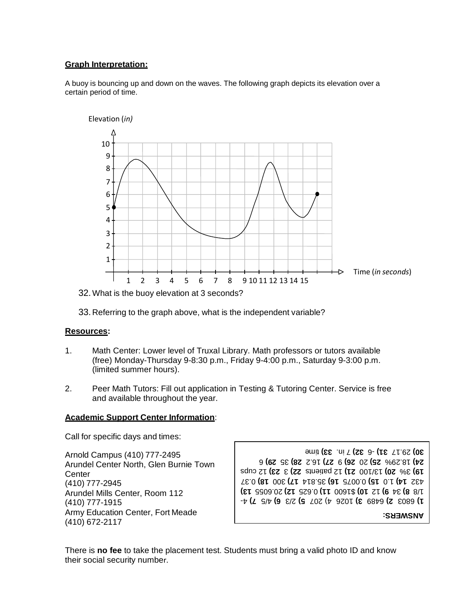#### **Graph Interpretation:**

A buoy is bouncing up and down on the waves. The following graph depicts its elevation over a certain period of time.



32.What is the buoy elevation at 3 seconds?

33. Referring to the graph above, what is the independent variable?

#### **Resources:**

- 1. Math Center: Lower level of Truxal Library. Math professors or tutors available (free) Monday-Thursday 9-8:30 p.m., Friday 9-4:00 p.m., Saturday 9-3:00 p.m. (limited summer hours).
- 2. Peer Math Tutors: Fill out application in Testing & Tutoring Center. Service is free and available throughout the year.

#### **Academic Support Center Information**:

Call for specific days and times:

Arnold Campus (410) 777-2495 Arundel Center North, Glen Burnie Town **Center** (410) 777-2945 Arundel Mills Center, Room 112 (410) 777-1915 Army Education Center, Fort Meade (410) 672-2117

 4- **7)** 4/5 **6)** 2/3 **5)** 1026 4) 207 **3)** 6489 **2)** 6803 **1) 13)** 20.6055 **12)** 0.625 **11)** \$1600 **10)** 12 **9)** 34 **8)** 1/8 0.37 **18)** 300 **17)** 35.814 **16)** 0.0075 **15)** 1.0 **14)** 432 12 cups **23)** 3 **22)** 12 patients **21)** 13/100 **20)** 3% **19)** 6 **29)** 35 **) 28** 16.2 **27)** 9 **26)** 20 **25)** 18.29% **24)** time **33)** 7 in. **32)** 6 - **31)** 29.17 **30)**

**ANSWERS:**

There is **no fee** to take the placement test. Students must bring a valid photo ID and know their social security number.